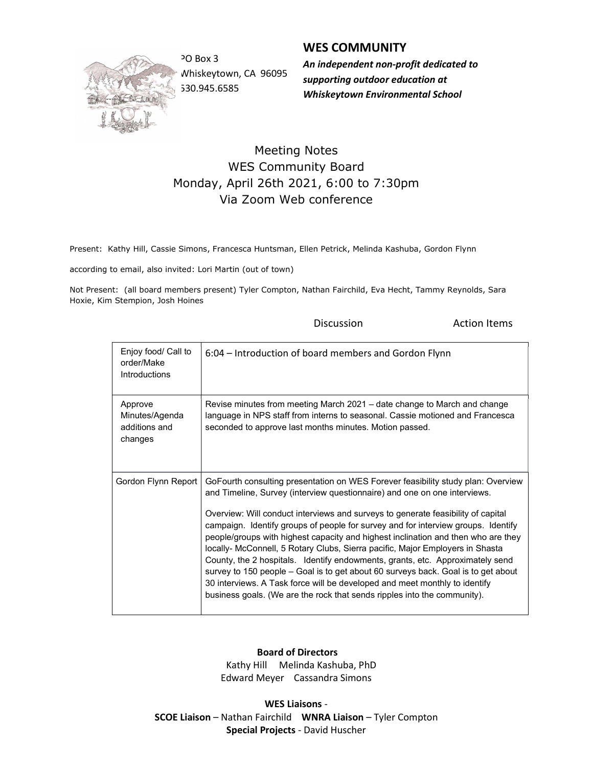

Whiskeytown, CA 96095 530.945.6585

## WES COMMUNITY

PO Box 3 **An independent non-profit dedicated to** supporting outdoor education at Whiskeytown Environmental School

## Meeting Notes WES Community Board Monday, April 26th 2021, 6:00 to 7:30pm Via Zoom Web conference

Present: Kathy Hill, Cassie Simons, Francesca Huntsman, Ellen Petrick, Melinda Kashuba, Gordon Flynn

according to email, also invited: Lori Martin (out of town)

Not Present: (all board members present) Tyler Compton, Nathan Fairchild, Eva Hecht, Tammy Reynolds, Sara Hoxie, Kim Stempion, Josh Hoines

|                                                       | Discussion                                                                                                                                                                                                                                                                                                                                                                                                                                                                                                                                                                                                                                                                                                                                                                                                                                   | <b>Action Items</b> |
|-------------------------------------------------------|----------------------------------------------------------------------------------------------------------------------------------------------------------------------------------------------------------------------------------------------------------------------------------------------------------------------------------------------------------------------------------------------------------------------------------------------------------------------------------------------------------------------------------------------------------------------------------------------------------------------------------------------------------------------------------------------------------------------------------------------------------------------------------------------------------------------------------------------|---------------------|
| Enjoy food/ Call to<br>order/Make<br>Introductions    | 6:04 – Introduction of board members and Gordon Flynn                                                                                                                                                                                                                                                                                                                                                                                                                                                                                                                                                                                                                                                                                                                                                                                        |                     |
| Approve<br>Minutes/Agenda<br>additions and<br>changes | Revise minutes from meeting March 2021 – date change to March and change<br>language in NPS staff from interns to seasonal. Cassie motioned and Francesca<br>seconded to approve last months minutes. Motion passed.                                                                                                                                                                                                                                                                                                                                                                                                                                                                                                                                                                                                                         |                     |
| Gordon Flynn Report                                   | GoFourth consulting presentation on WES Forever feasibility study plan: Overview<br>and Timeline, Survey (interview questionnaire) and one on one interviews.<br>Overview: Will conduct interviews and surveys to generate feasibility of capital<br>campaign. Identify groups of people for survey and for interview groups. Identify<br>people/groups with highest capacity and highest inclination and then who are they<br>locally- McConnell, 5 Rotary Clubs, Sierra pacific, Major Employers in Shasta<br>County, the 2 hospitals. Identify endowments, grants, etc. Approximately send<br>survey to 150 people – Goal is to get about 60 surveys back. Goal is to get about<br>30 interviews. A Task force will be developed and meet monthly to identify<br>business goals. (We are the rock that sends ripples into the community). |                     |

## Board of Directors

 Kathy Hill Melinda Kashuba, PhD Edward Meyer Cassandra Simons

WES Liaisons - SCOE Liaison – Nathan Fairchild WNRA Liaison – Tyler Compton Special Projects - David Huscher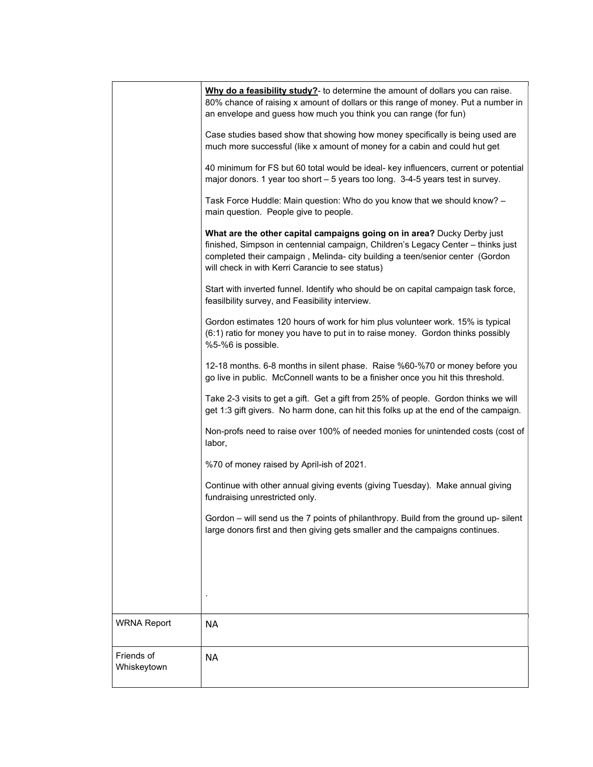|                           | Why do a feasibility study?- to determine the amount of dollars you can raise.<br>80% chance of raising x amount of dollars or this range of money. Put a number in<br>an envelope and guess how much you think you can range (for fun)                                                          |  |
|---------------------------|--------------------------------------------------------------------------------------------------------------------------------------------------------------------------------------------------------------------------------------------------------------------------------------------------|--|
|                           | Case studies based show that showing how money specifically is being used are<br>much more successful (like x amount of money for a cabin and could hut get                                                                                                                                      |  |
|                           | 40 minimum for FS but 60 total would be ideal- key influencers, current or potential<br>major donors. 1 year too short - 5 years too long. 3-4-5 years test in survey.                                                                                                                           |  |
|                           | Task Force Huddle: Main question: Who do you know that we should know? -<br>main question. People give to people.                                                                                                                                                                                |  |
|                           | What are the other capital campaigns going on in area? Ducky Derby just<br>finished, Simpson in centennial campaign, Children's Legacy Center - thinks just<br>completed their campaign, Melinda- city building a teen/senior center (Gordon<br>will check in with Kerri Carancie to see status) |  |
|                           | Start with inverted funnel. Identify who should be on capital campaign task force,<br>feasilbility survey, and Feasibility interview.                                                                                                                                                            |  |
|                           | Gordon estimates 120 hours of work for him plus volunteer work. 15% is typical<br>(6:1) ratio for money you have to put in to raise money. Gordon thinks possibly<br>%5-%6 is possible.                                                                                                          |  |
|                           | 12-18 months. 6-8 months in silent phase. Raise %60-%70 or money before you<br>go live in public. McConnell wants to be a finisher once you hit this threshold.                                                                                                                                  |  |
|                           | Take 2-3 visits to get a gift. Get a gift from 25% of people. Gordon thinks we will<br>get 1:3 gift givers. No harm done, can hit this folks up at the end of the campaign.                                                                                                                      |  |
|                           | Non-profs need to raise over 100% of needed monies for unintended costs (cost of<br>labor,                                                                                                                                                                                                       |  |
|                           | %70 of money raised by April-ish of 2021.                                                                                                                                                                                                                                                        |  |
|                           | Continue with other annual giving events (giving Tuesday). Make annual giving<br>fundraising unrestricted only.                                                                                                                                                                                  |  |
|                           | Gordon - will send us the 7 points of philanthropy. Build from the ground up-silent<br>large donors first and then giving gets smaller and the campaigns continues.                                                                                                                              |  |
|                           |                                                                                                                                                                                                                                                                                                  |  |
|                           |                                                                                                                                                                                                                                                                                                  |  |
| <b>WRNA Report</b>        | <b>NA</b>                                                                                                                                                                                                                                                                                        |  |
| Friends of<br>Whiskeytown | <b>NA</b>                                                                                                                                                                                                                                                                                        |  |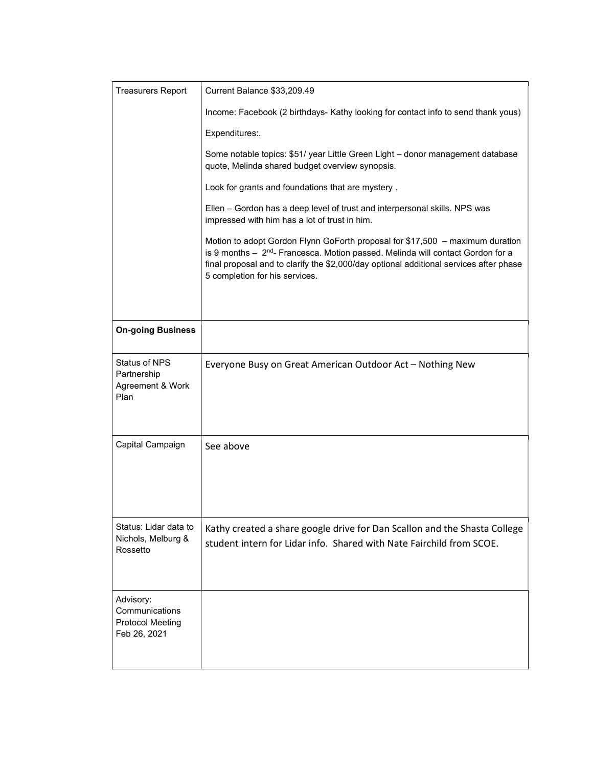| <b>Treasurers Report</b>                                        | Current Balance \$33,209.49                                                                                                                                                                                                                                                                              |
|-----------------------------------------------------------------|----------------------------------------------------------------------------------------------------------------------------------------------------------------------------------------------------------------------------------------------------------------------------------------------------------|
|                                                                 | Income: Facebook (2 birthdays- Kathy looking for contact info to send thank yous)                                                                                                                                                                                                                        |
|                                                                 | Expenditures:.                                                                                                                                                                                                                                                                                           |
|                                                                 | Some notable topics: \$51/ year Little Green Light - donor management database<br>quote, Melinda shared budget overview synopsis.                                                                                                                                                                        |
|                                                                 | Look for grants and foundations that are mystery.                                                                                                                                                                                                                                                        |
|                                                                 | Ellen - Gordon has a deep level of trust and interpersonal skills. NPS was<br>impressed with him has a lot of trust in him.                                                                                                                                                                              |
|                                                                 | Motion to adopt Gordon Flynn GoForth proposal for \$17,500 - maximum duration<br>is 9 months - 2 <sup>nd</sup> - Francesca. Motion passed. Melinda will contact Gordon for a<br>final proposal and to clarify the \$2,000/day optional additional services after phase<br>5 completion for his services. |
| <b>On-going Business</b>                                        |                                                                                                                                                                                                                                                                                                          |
| <b>Status of NPS</b><br>Partnership<br>Agreement & Work<br>Plan | Everyone Busy on Great American Outdoor Act - Nothing New                                                                                                                                                                                                                                                |
| Capital Campaign                                                | See above                                                                                                                                                                                                                                                                                                |
| Status: Lidar data to<br>Nichols, Melburg &<br>Rossetto         | Kathy created a share google drive for Dan Scallon and the Shasta College<br>student intern for Lidar info. Shared with Nate Fairchild from SCOE.                                                                                                                                                        |
| Advisory:<br>Communications<br><b>Protocol Meeting</b>          |                                                                                                                                                                                                                                                                                                          |